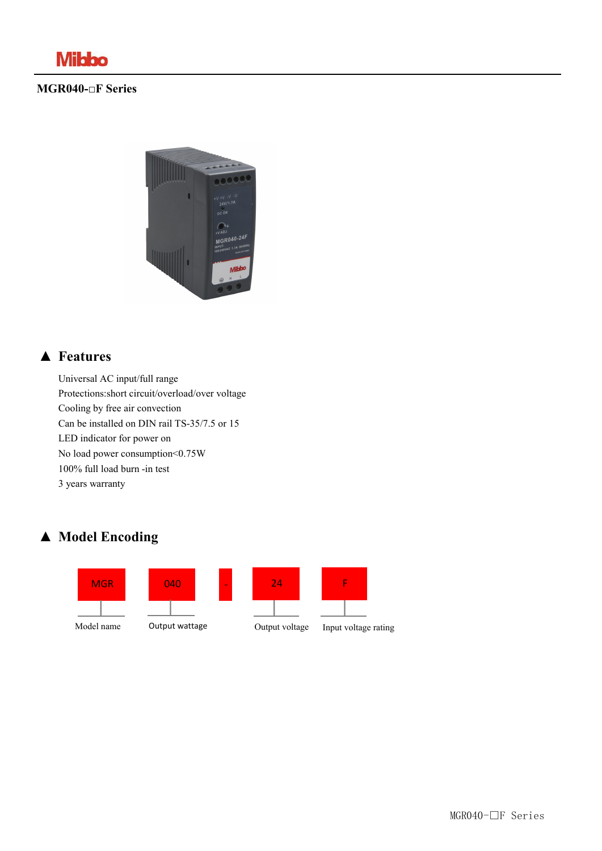

#### **MGR040-□F Series**



### **▲ Features**

Universal AC input/full range Protections:short circuit/overload/over voltage Cooling by free air convection Can be installed on DIN rail TS-35/7.5 or 15 LED indicator for power on No load power consumption<0.75W 100% full load burn -in test 3 years warranty

### **▲ Model Encoding**





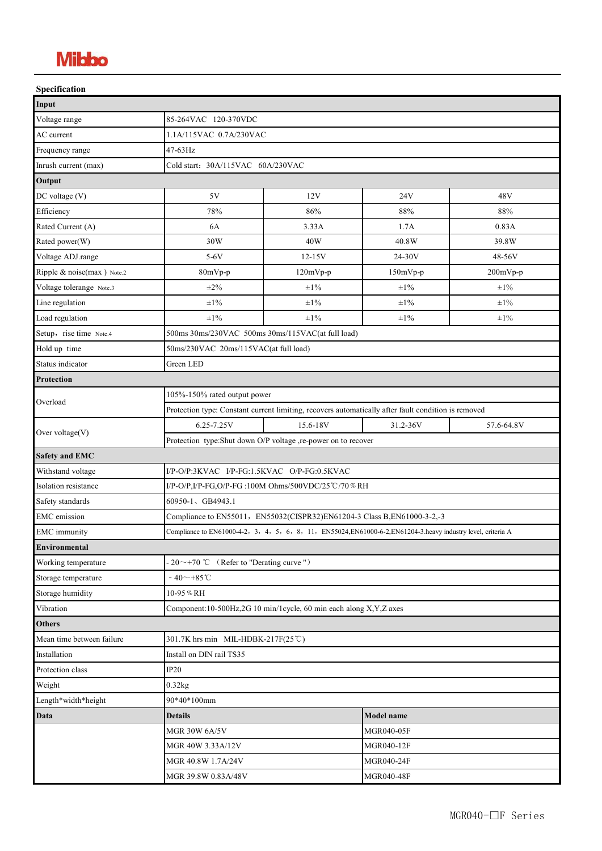# **Mibbo**

| Specification              |                                                                                                              |            |            |            |
|----------------------------|--------------------------------------------------------------------------------------------------------------|------------|------------|------------|
| Input                      |                                                                                                              |            |            |            |
| Voltage range              | 85-264VAC 120-370VDC                                                                                         |            |            |            |
| AC current                 | 1.1A/115VAC 0.7A/230VAC                                                                                      |            |            |            |
| Frequency range            | 47-63Hz                                                                                                      |            |            |            |
| Inrush current (max)       | Cold start: 30A/115VAC 60A/230VAC                                                                            |            |            |            |
| Output                     |                                                                                                              |            |            |            |
| DC voltage (V)             | 5V                                                                                                           | 12V        | 24V        | 48V        |
| Efficiency                 | 78%                                                                                                          | 86%        | 88%        | 88%        |
| Rated Current (A)          | 6A                                                                                                           | 3.33A      | 1.7A       | 0.83A      |
| Rated power(W)             | 30W                                                                                                          | 40W        | 40.8W      | 39.8W      |
| Voltage ADJ.range          | $5-6V$                                                                                                       | $12 - 15V$ | 24-30V     | 48-56V     |
| Ripple & noise(max) Note.2 | 80mVp-p                                                                                                      | $120mVp-p$ | $150mVp-p$ | $200mVp-p$ |
| Voltage tolerange Note.3   | $\pm 2\%$                                                                                                    | $\pm 1\%$  | $\pm 1\%$  | $\pm 1\%$  |
| Line regulation            | $\pm 1\%$                                                                                                    | $\pm 1\%$  | $\pm 1\%$  | $\pm 1\%$  |
| Load regulation            | $\pm 1\%$                                                                                                    | $\pm 1\%$  | $\pm 1\%$  | $\pm 1\%$  |
| Setup, rise time Note.4    | 500ms 30ms/230VAC 500ms 30ms/115VAC(at full load)                                                            |            |            |            |
| Hold up time               | 50ms/230VAC 20ms/115VAC(at full load)                                                                        |            |            |            |
| Status indicator           | Green LED                                                                                                    |            |            |            |
| Protection                 |                                                                                                              |            |            |            |
| Overload                   | 105%-150% rated output power                                                                                 |            |            |            |
|                            | Protection type: Constant current limiting, recovers automatically after fault condition is removed          |            |            |            |
| Over voltage(V)            | $6.25 - 7.25V$                                                                                               | 15.6-18V   | 31.2-36V   | 57.6-64.8V |
|                            | Protection type:Shut down O/P voltage ,re-power on to recover                                                |            |            |            |
| <b>Safety and EMC</b>      |                                                                                                              |            |            |            |
| Withstand voltage          | I/P-O/P:3KVAC I/P-FG:1.5KVAC O/P-FG:0.5KVAC                                                                  |            |            |            |
| Isolation resistance       | I/P-O/P,I/P-FG,O/P-FG :100M Ohms/500VDC/25 °C/70 % RH                                                        |            |            |            |
| Safety standards           | 60950-1、GB4943.1                                                                                             |            |            |            |
| EMC emission               | Compliance to EN55011, EN55032(CISPR32)EN61204-3 Class B, EN61000-3-2,-3                                     |            |            |            |
| <b>EMC</b> immunity        | Compliance to EN61000-4-2, 3, 4, 5, 6, 8, 11, EN55024,EN61000-6-2,EN61204-3 heavy industry level, criteria A |            |            |            |
| Environmental              |                                                                                                              |            |            |            |
| Working temperature        | $-20 \sim +70$ °C (Refer to "Derating curve ")                                                               |            |            |            |
| Storage temperature        | $-40$ ~+85°C                                                                                                 |            |            |            |
| Storage humidity           | 10-95%RH                                                                                                     |            |            |            |
| Vibration                  | Component:10-500Hz,2G 10 min/1cycle, 60 min each along X,Y,Z axes                                            |            |            |            |
| Others                     |                                                                                                              |            |            |            |
| Mean time between failure  | 301.7K hrs min MIL-HDBK-217F(25℃)                                                                            |            |            |            |
| Installation               | Install on DIN rail TS35                                                                                     |            |            |            |
| Protection class           | IP20                                                                                                         |            |            |            |
| Weight                     | 0.32kg                                                                                                       |            |            |            |
| Length*width*height        | 90*40*100mm                                                                                                  |            |            |            |
| Data                       | Model name<br><b>Details</b>                                                                                 |            |            |            |
|                            | <b>MGR 30W 6A/5V</b>                                                                                         |            | MGR040-05F |            |
|                            | MGR 40W 3.33A/12V                                                                                            |            | MGR040-12F |            |
|                            | MGR 40.8W 1.7A/24V                                                                                           |            | MGR040-24F |            |
|                            | MGR 39.8W 0.83A/48V<br>MGR040-48F                                                                            |            |            |            |